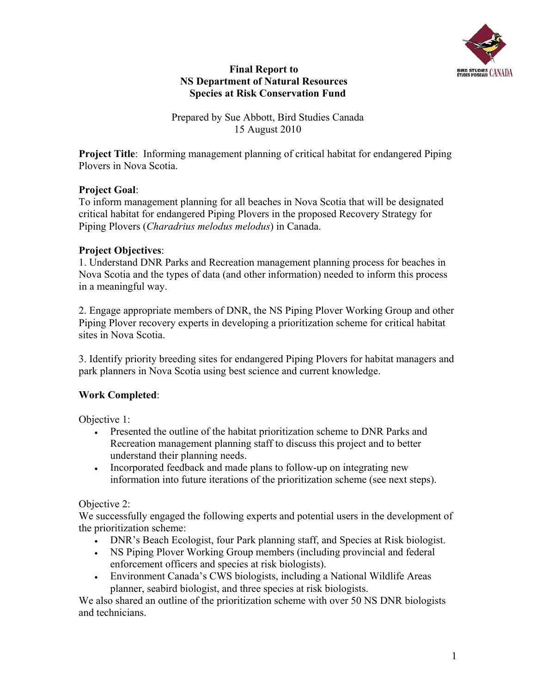

### **Final Report to NS Department of Natural Resources Species at Risk Conservation Fund**

Prepared by Sue Abbott, Bird Studies Canada 15 August 2010

**Project Title**: Informing management planning of critical habitat for endangered Piping Plovers in Nova Scotia.

## **Project Goal**:

To inform management planning for all beaches in Nova Scotia that will be designated critical habitat for endangered Piping Plovers in the proposed Recovery Strategy for Piping Plovers (*Charadrius melodus melodus*) in Canada.

## **Project Objectives**:

1. Understand DNR Parks and Recreation management planning process for beaches in Nova Scotia and the types of data (and other information) needed to inform this process in a meaningful way.

2. Engage appropriate members of DNR, the NS Piping Plover Working Group and other Piping Plover recovery experts in developing a prioritization scheme for critical habitat sites in Nova Scotia.

3. Identify priority breeding sites for endangered Piping Plovers for habitat managers and park planners in Nova Scotia using best science and current knowledge.

# **Work Completed**:

Objective 1:

- Presented the outline of the habitat prioritization scheme to DNR Parks and Recreation management planning staff to discuss this project and to better understand their planning needs.
- Incorporated feedback and made plans to follow-up on integrating new information into future iterations of the prioritization scheme (see next steps).

### Objective 2:

We successfully engaged the following experts and potential users in the development of the prioritization scheme:

- DNR's Beach Ecologist, four Park planning staff, and Species at Risk biologist.
- NS Piping Plover Working Group members (including provincial and federal enforcement officers and species at risk biologists).
- Environment Canada's CWS biologists, including a National Wildlife Areas planner, seabird biologist, and three species at risk biologists.

We also shared an outline of the prioritization scheme with over 50 NS DNR biologists and technicians.